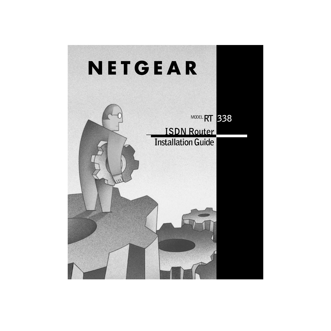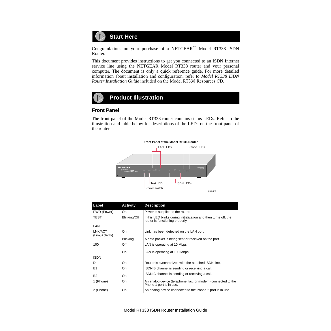

Congratulations on your purchase of a NETGEAR™ Model RT338 ISDN Router.

This document provides instructions to get you connected to an ISDN Internet service line using the NETGEAR Model RT338 router and your personal computer. The document is only a quick reference guide. For more detailed information about installation and configuration, refer to *Model RT338 ISDN Router Installation Guide* included on the Model RT338 Resources CD.



### **Front Panel**

The front panel of the Model RT338 router contains status LEDs. Refer to the illustration and table below for descriptions of the LEDs on the front panel of the router.



| Label                      | <b>Activity</b> | <b>Description</b>                                                                                  |
|----------------------------|-----------------|-----------------------------------------------------------------------------------------------------|
| PWR (Power)                | On              | Power is supplied to the router.                                                                    |
| TEST                       | Blinking/Off    | If this LED blinks during initialization and then turns off, the<br>router is functioning properly. |
| LAN                        |                 |                                                                                                     |
| LNK/ACT<br>(Link/Activity) | On              | Link has been detected on the LAN port.                                                             |
|                            | <b>Blinking</b> | A data packet is being sent or received on the port.                                                |
| 100                        | Off             | LAN is operating at 10 Mbps.                                                                        |
|                            | On              | LAN is operating at 100 Mbps.                                                                       |
| <b>ISDN</b>                |                 |                                                                                                     |
| D                          | On              | Router is synchronized with the attached ISDN line.                                                 |
| <b>B1</b>                  | On              | ISDN B channel is sending or receiving a call.                                                      |
| <b>B2</b>                  | On              | ISDN B channel is sending or receiving a call.                                                      |
| 1 (Phone)                  | On              | An analog device (telephone, fax, or modem) connected to the<br>Phone 1 port is in use.             |
| 2 (Phone)                  | On              | An analog device connected to the Phone 2 port is in use.                                           |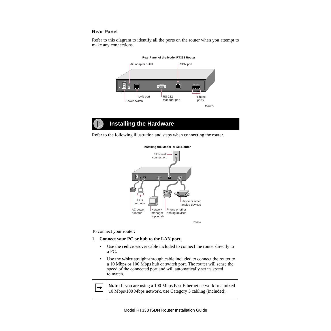# **Rear Panel**

Refer to this diagram to identify all the ports on the router when you attempt to make any connections.



**Rear Panel of the Model RT338 Router**

# **Installing the Hardware**

Refer to the following illustration and steps when connecting the router.



**Installing the Model RT338 Router**

To connect your router:

#### **1. Connect your PC or hub to the LAN port:**

- Use the **red** crossover cable included to connect the router directly to a PC.
- Use the **white** straight-through cable included to connect the router to a 10 Mbps or 100 Mbps hub or switch port. The router will sense the speed of the connected port and will automatically set its speed to match.

 $\rightarrow$ 

**Note:** If you are using a 100 Mbps Fast Ethernet network or a mixed 10 Mbps/100 Mbps network, use Category 5 cabling (included).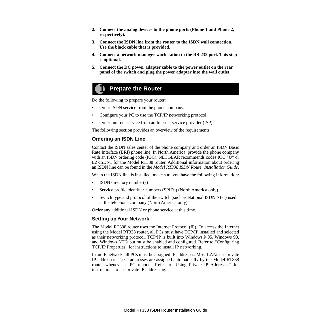- **2. Connect the analog devices to the phone ports (Phone 1 and Phone 2, respectively).**
- **3. Connect the ISDN line from the router to the ISDN wall connection. Use the black cable that is provided.**
- **4. Connect a network manager workstation to the RS-232 port. This step is optional.**
- **5. Connect the DC power adapter cable to the power outlet on the rear panel of the switch and plug the power adapter into the wall outlet.**

# **Prepare the Router**

Do the following to prepare your router:

- Order ISDN service from the phone company.
- Configure your PC to use the TCP/IP networking protocol.
- Order Internet service from an Internet service provider (ISP).

The following section provides an overview of the requirements.

## **Ordering an ISDN Line**

Contact the ISDN sales center of the phone company and order an ISDN Basic Rate Interface (BRI) phone line. In North America, provide the phone company with an ISDN ordering code (IOC). NETGEAR recommends codes IOC "U" or EZ-ISDN1 for the Model RT338 router. Additional information about ordering an ISDN line can be found in the *Model RT338 ISDN Router Installation Guide*.

When the ISDN line is installed, make sure you have the following information:

- ISDN directory number(s)
- Service profile identifier numbers (SPIDs) (North America only)
- Switch type and protocol of the switch (such as National ISDN NI-1) used at the telephone company (North America only)

Order any additional ISDN or phone service at this time.

### **Setting up Your Network**

The Model RT338 router uses the Internet Protocol (IP). To access the Internet using the Model RT338 router, all PCs must have TCP/IP installed and selected as their networking protocol. TCP/IP is built into Windows® 95, Windows 98, and Windows NT® but must be enabled and configured. Refer to "Configuring TCP/IP Properties" for instructions to install IP networking.

In an IP network, all PCs must be assigned IP addresses. Most LANs use private IP addresses. These addresses are assigned automatically by the Model RT338 router whenever a PC reboots. Refer to "Using Private IP Addresses" for instructions to use private IP addressing.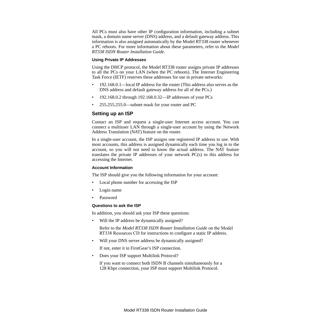All PCs must also have other IP configuration information, including a subnet mask, a domain name server (DNS) address, and a default gateway address. This information is also assigned automatically by the Model RT338 router whenever a PC reboots. For more information about these parameters, refer to the *Model RT338 ISDN Router Installation Guide*.

### **Using Private IP Addresses**

Using the DHCP protocol, the Model RT338 router assigns private IP addresses to all the PCs on your LAN (when the PC reboots). The Internet Engineering Task Force (IETF) reserves these addresses for use in private networks:

- 192.168.0.1—local IP address for the router (This address also serves as the DNS address and default gateway address for all of the PCs.)
- 192.168.0.2 through 192.168.0.32—IP addresses of your PCs
- 255.255.255.0—subnet mask for your router and PC

### **Setting up an ISP**

Contact an ISP and request a single-user Internet access account. You can connect a multiuser LAN through a single-user account by using the Network Address Translation (NAT) feature on the router.

In a single-user account, the ISP assigns one registered IP address to use. With most accounts, this address is assigned dynamically each time you log in to the account, so you will not need to know the actual address. The NAT feature translates the private IP addresses of your network PC(s) to this address for accessing the Internet.

#### **Account Information**

The ISP should give you the following information for your account:

- Local phone number for accessing the ISP
- Login name
- Password

#### **Questions to ask the ISP**

In addition, you should ask your ISP these questions:

• Will the IP address be dynamically assigned?

Refer to the *Model RT338 ISDN Router Installation Guide* on the Model RT338 Resources CD for instructions to configure a static IP address.

Will your DNS server address be dynamically assigned?

If not, enter it in FirstGear's ISP connection.

• Does your ISP support Multilink Protocol?

If you want to connect both ISDN B channels simultaneously for a 128 Kbps connection, your ISP must support Multilink Protocol.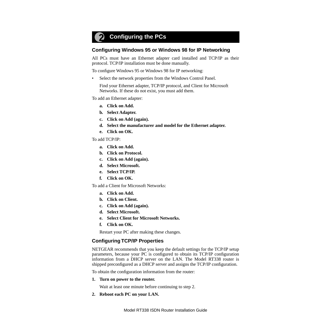# **Configuring the PCs**

## **Configuring Windows 95 or Windows 98 for IP Networking**

All PCs must have an Ethernet adapter card installed and TCP/IP as their protocol. TCP/IP installation must be done manually.

To configure Windows 95 or Windows 98 for IP networking:

Select the network properties from the Windows Control Panel.

Find your Ethernet adapter, TCP/IP protocol, and Client for Microsoft Networks. If these do not exist, you must add them.

To add an Ethernet adapter:

- **a. Click on Add.**
- **b. Select Adapter.**
- **c. Click on Add (again).**
- **d. Select the manufacturer and model for the Ethernet adapter.**
- **e. Click on OK.**

To add TCP/IP:

- **a. Click on Add.**
- **b. Click on Protocol.**
- **c. Click on Add (again).**
- **d. Select Microsoft.**
- **e. Select TCP/IP.**
- **f. Click on OK.**

To add a Client for Microsoft Networks:

- **a. Click on Add.**
- **b. Click on Client.**
- **c. Click on Add (again).**
- **d. Select Microsoft.**
- **e. Select Client for Microsoft Networks.**
- **f. Click on OK.**

Restart your PC after making these changes.

### **Configuring TCP/IP Properties**

NETGEAR recommends that you keep the default settings for the TCP/IP setup parameters, because your PC is configured to obtain its TCP/IP configuration information from a DHCP server on the LAN. The Model RT338 router is shipped preconfigured as a DHCP server and assigns the TCP/IP configuration.

To obtain the configuration information from the router:

**1. Turn on power to the router.** 

Wait at least one minute before continuing to step 2.

**2. Reboot each PC on your LAN.**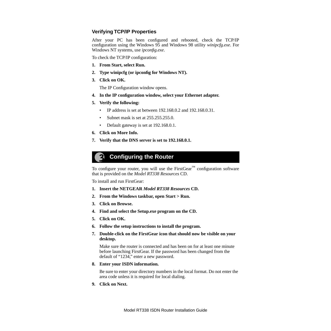# **Verifying TCP/IP Properties**

After your PC has been configured and rebooted, check the TCP/IP configuration using the Windows 95 and Windows 98 utility *winipcfg.exe*. For Windows NT systems, use *ipconfig.exe*.

To check the TCP/IP configuration:

- **1. From Start, select Run.**
- **2. Type winipcfg (or ipconfig for Windows NT).**
- **3. Click on OK.**

The IP Configuration window opens.

- **4. In the IP configuration window, select your Ethernet adapter.**
- **5. Verify the following:**
	- IP address is set at between 192.168.0.2 and 192.168.0.31.
	- Subnet mask is set at 255.255.255.0.
	- Default gateway is set at 192.168.0.1.
- **6. Click on More Info.**
- **7. Verify that the DNS server is set to 192.168.0.1.**

# **Configuring the Router**

To configure your router, you will use the FirstGear<sup>™</sup> configuration software that is provided on the *Model RT338 Resources* CD.

To install and run FirstGear:

- **1. Insert the NETGEAR** *Model RT338 Resources* **CD.**
- **2. From the Windows taskbar, open Start > Run.**
- **3. Click on Browse.**
- **4. Find and select the Setup.exe program on the CD.**
- **5. Click on OK.**
- **6. Follow the setup instructions to install the program.**
- **7. Double-click on the FirstGear icon that should now be visible on your desktop.**

Make sure the router is connected and has been on for at least one minute before launching FirstGear. If the password has been changed from the default of "1234," enter a new password.

**8. Enter your ISDN information.**

Be sure to enter your directory numbers in the local format. Do not enter the area code unless it is required for local dialing.

**9. Click on Next.**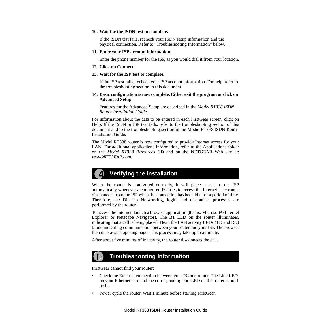#### **10. Wait for the ISDN test to complete.**

If the ISDN test fails, recheck your ISDN setup information and the physical connection. Refer to "Troubleshooting Information" below.

#### **11. Enter your ISP account information.**

Enter the phone number for the ISP, as you would dial it from your location.

**12. Click on Connect.**

#### **13. Wait for the ISP test to complete.**

If the ISP test fails, recheck your ISP account information. For help, refer to the troubleshooting section in this document.

#### **14. Basic configuration is now complete. Either exit the program or click on Advanced Setup.**

Features for the Advanced Setup are described in the *Model RT338 ISDN Router Installation Guide*.

For information about the data to be entered in each FirstGear screen, click on Help. If the ISDN or ISP test fails, refer to the troubleshooting section of this document and to the troubleshooting section in the Model RT338 ISDN Router Installation Guide*.*

The Model RT338 router is now configured to provide Internet access for your LAN. For additional applications information, refer to the Applications folder on the *Model RT338 Resources* CD and on the NETGEAR Web site at: *www.NETGEAR.com*.

# **Verifying the Installation**

When the router is configured correctly, it will place a call to the ISP automatically whenever a configured PC tries to access the Internet. The router disconnects from the ISP when the connection has been idle for a period of time. Therefore, the Dial-Up Networking, login, and disconnect processes are performed by the router.

To access the Internet, launch a browser application (that is, Microsoft® Internet Explorer or Netscape Navigator). The B1 LED on the router illuminates, indicating that a call is being placed. Next, the LAN activity LEDs (TD and RD) blink, indicating communication between your router and your ISP. The browser then displays its opening page. This process may take up to a minute.

After about five minutes of inactivity, the router disconnects the call.

# **Troubleshooting Information**

FirstGear cannot find your router:

- Check the Ethernet connection between your PC and router. The Link LED on your Ethernet card and the corresponding port LED on the router should be lit.
- Power cycle the router. Wait 1 minute before starting FirstGear.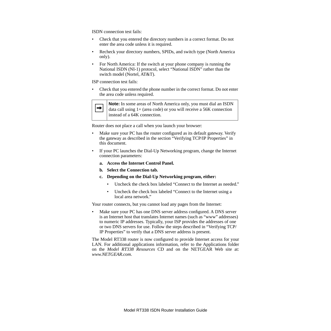ISDN connection test fails:

- Check that you entered the directory numbers in a correct format. Do not enter the area code unless it is required.
- Recheck your directory numbers, SPIDs, and switch type (North America only).
- For North America: If the switch at your phone company is running the National ISDN (NI-1) protocol, select "National ISDN" rather than the switch model (Nortel, AT&T).

ISP connection test fails:

• Check that you entered the phone number in the correct format. Do not enter the area code unless required.



**Note:** In some areas of North America only, you must dial an ISDN data call using 1+ (area code) or you will receive a 56K connection instead of a 64K connection.

Router does not place a call when you launch your browser:

- Make sure your PC has the router configured as its default gateway. Verify the gateway as described in the section "Verifying TCP/IP Properties" in this document.
- If your PC launches the Dial-Up Networking program, change the Internet connection parameters:
	- **a. Access the Internet Control Panel.**
	- **b. Select the Connection tab.**
	- **c. Depending on the Dial-Up Networking program, either:**
		- Uncheck the check box labeled "Connect to the Internet as needed."
		- Uncheck the check box labeled "Connect to the Internet using a local area network."

Your router connects, but you cannot load any pages from the Internet:

• Make sure your PC has one DNS server address configured. A DNS server is an Internet host that translates Internet names (such as "www" addresses) to numeric IP addresses. Typically, your ISP provides the addresses of one or two DNS servers for use. Follow the steps described in "Verifying TCP/ IP Properties" to verify that a DNS server address is present.

The Model RT338 router is now configured to provide Internet access for your LAN. For additional applications information, refer to the Applications folder on the *Model RT338 Resources* CD and on the NETGEAR Web site at: *www.NETGEAR.com*.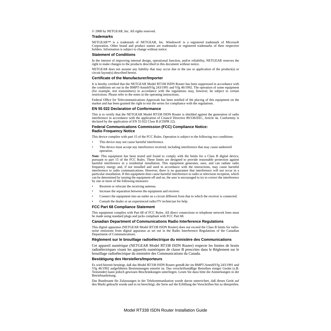© 2000 by NETGEAR, Inc. All rights reserved.

#### **Trademarks**

NETGEAR™ is a trademark of NETGEAR, Inc. Windows® is a registered trademark of Microsoft Corporation. Other brand and product names are trademarks or registered trademarks of their respective holders. Information is subject to change without notice.

#### **Statement of Conditions**

In the interest of improving internal design, operational function, and/or reliability, NETGEAR reserves the right to make changes to the products described in this document without notice.

NETGEAR does not assume any liability that may occur due to the use or application of the product(s) or circuit layout(s) described herein.

#### **Certificate of the Manufacturer/Importer**

It is hereby certified that the NETGEAR Model RT338 ISDN Router has been suppressed in accordance with the conditions set out in the BMPT-AmtsblVfg 243/1991 and Vfg 46/1992. The operation of some equipment (for example, test transmitters) in accordance with the regulations may, however, be subject to certain restrictions. Please refer to the notes in the operating instructions.

Federal Office for Telecommunications Approvals has been notified of the placing of this equipment on the market and has been granted the right to test the series for compliance with the regulations.

#### **EN 55 022 Declaration of Conformance**

This is to certify that the NETGEAR Model RT338 ISDN Router is shielded against the generation of radio interference in accordance with the application of Council Directive 89/336/EEC, Article 4a. Conformity is declared by the application of EN 55  $\hat{0}\hat{2}2$  Class B (CISPR 22).

#### **Federal Communications Commission (FCC) Compliance Notice: Radio Frequency Notice**

This device complies with part 15 of the FCC Rules. Operation is subject to the following two conditions:

- This device may not cause harmful interference.
- This device must accept any interference received, including interference that may cause undesired operation.

**Note**: This equipment has been tested and found to comply with the limits for a Class B digital device, pursuant to part 15 of the FCC Rules. These limits are designed to provide reasonable protection against harmful interference in a residential installation. This equipment generates, uses, and can radiate radio frequency energy and, if not installed and used in accordance with the instructions, may cause harmful interference to radio communications. However, there is no guarantee that interference will not occur in a particular installation. If this equipment does cause harmful interference to radio or television reception, which can be determined by turning the equipment off and on, the user is encouraged to try to correct the interference by one or more of the following measures:

- Reorient or relocate the receiving antenna.
- Increase the separation between the equipment and receiver.
- Connect the equipment into an outlet on a circuit different from that to which the receiver is connected.
- Consult the dealer or an experienced radio/TV technician for help.

#### **FCC Part 68 Compliance Statement**

This equipment complies with Part 68 of FCC Rules. All direct connections to telephone network lines must be made using standard plugs and jacks compliant with FCC Part 68.

#### **Canadian Department of Communications Radio Interference Regulations**

This digital apparatus (NETGEAR Model RT338 ISDN Router) does not exceed the Class B limits for radionoise emissions from digital apparatus as set out in the Radio Interference Regulations of the Canadian Department of Communications.

#### **Règlement sur le brouillage radioélectrique du ministère des Communications**

Cet appareil numérique (NETGEAR Model RT338 ISDN Router) respecte les limites de bruits radioélectriques visant les appareils numériques de classe B prescrites dans le Règlement sur le brouillage radioélectrique du ministère des Communications du Canada.

#### **Bestätigung des Herstellers/Importeurs**

Es wird hiermit bestätigt, daß das Model RT338 ISDN Router gemäß der im BMPT-AmtsblVfg 243/1991 und Vfg 46/1992 aufgeführten Bestimmungen entstört ist. Das vorschriftsmäßige Betreiben einiger Geräte (z.B. Testsender) kann jedoch gewissen Beschränkungen unterliegen. Lesen Sie dazu bitte die Anmerkungen in der Betriebsanleitung.

Das Bundesamt für Zulassungen in der Telekommunikation wurde davon unterrichtet, daß dieses Gerät auf den Markt gebracht wurde und es ist berechtigt, die Serie auf die Erfüllung der Vorschriften hin zu überprüfen.